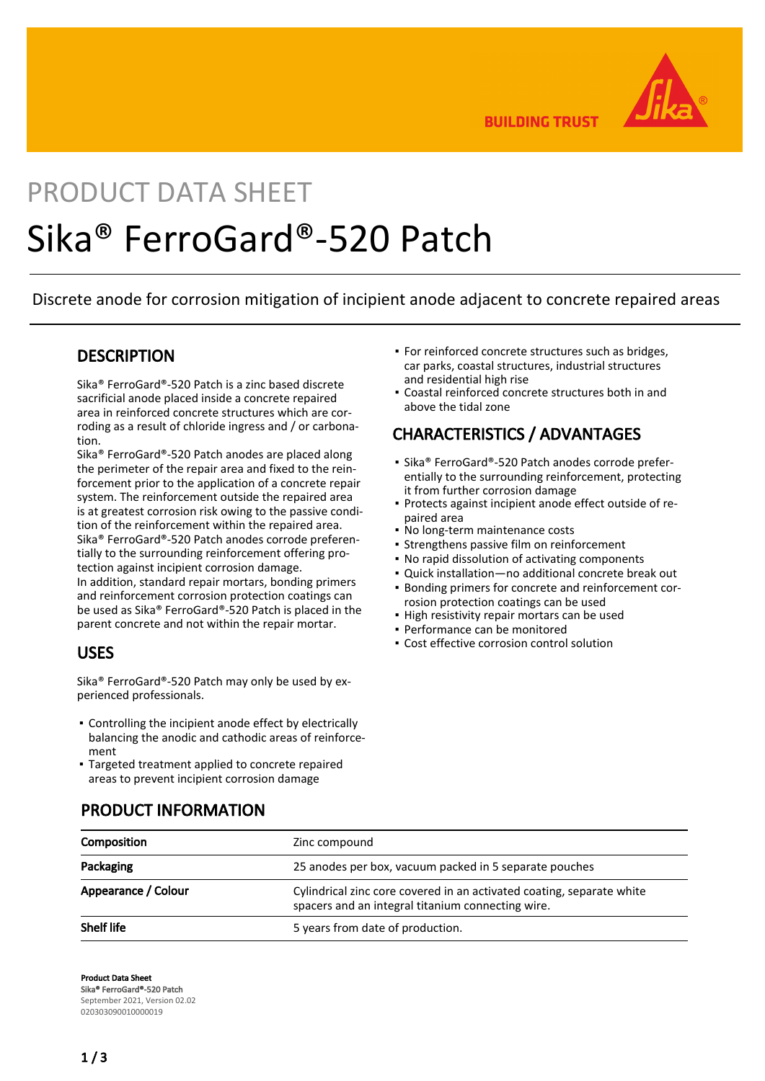

**BUILDING TRUST** 

# PRODUCT DATA SHEET Sika® FerroGard®-520 Patch

Discrete anode for corrosion mitigation of incipient anode adjacent to concrete repaired areas

#### **DESCRIPTION**

Sika® FerroGard®-520 Patch is a zinc based discrete sacrificial anode placed inside a concrete repaired area in reinforced concrete structures which are corroding as a result of chloride ingress and / or carbonation.

Sika® FerroGard®-520 Patch anodes are placed along the perimeter of the repair area and fixed to the reinforcement prior to the application of a concrete repair system. The reinforcement outside the repaired area is at greatest corrosion risk owing to the passive condition of the reinforcement within the repaired area. Sika® FerroGard®-520 Patch anodes corrode preferentially to the surrounding reinforcement offering protection against incipient corrosion damage. In addition, standard repair mortars, bonding primers and reinforcement corrosion protection coatings can be used as Sika® FerroGard®-520 Patch is placed in the parent concrete and not within the repair mortar.

#### USES

Sika® FerroGard®-520 Patch may only be used by experienced professionals.

- Controlling the incipient anode effect by electrically balancing the anodic and cathodic areas of reinforcement
- Targeted treatment applied to concrete repaired areas to prevent incipient corrosion damage
- **For reinforced concrete structures such as bridges,** car parks, coastal structures, industrial structures and residential high rise
- Coastal reinforced concrete structures both in and above the tidal zone

### CHARACTERISTICS / ADVANTAGES

- Sika® FerroGard®-520 Patch anodes corrode preferentially to the surrounding reinforcement, protecting it from further corrosion damage
- Protects against incipient anode effect outside of re-▪ paired area
- No long-term maintenance costs
- **Strengthens passive film on reinforcement**
- No rapid dissolution of activating components
- Quick installation—no additional concrete break out
- Bonding primers for concrete and reinforcement cor-▪ rosion protection coatings can be used
- High resistivity repair mortars can be used
- Performance can be monitored
- Cost effective corrosion control solution

| Composition         | Zinc compound                                                                                                              |  |
|---------------------|----------------------------------------------------------------------------------------------------------------------------|--|
| Packaging           | 25 anodes per box, vacuum packed in 5 separate pouches                                                                     |  |
| Appearance / Colour | Cylindrical zinc core covered in an activated coating, separate white<br>spacers and an integral titanium connecting wire. |  |
| <b>Shelf life</b>   | 5 years from date of production.                                                                                           |  |

#### PRODUCT INFORMATION

Product Data Sheet Sika® FerroGard®-520 Patch September 2021, Version 02.02 020303090010000019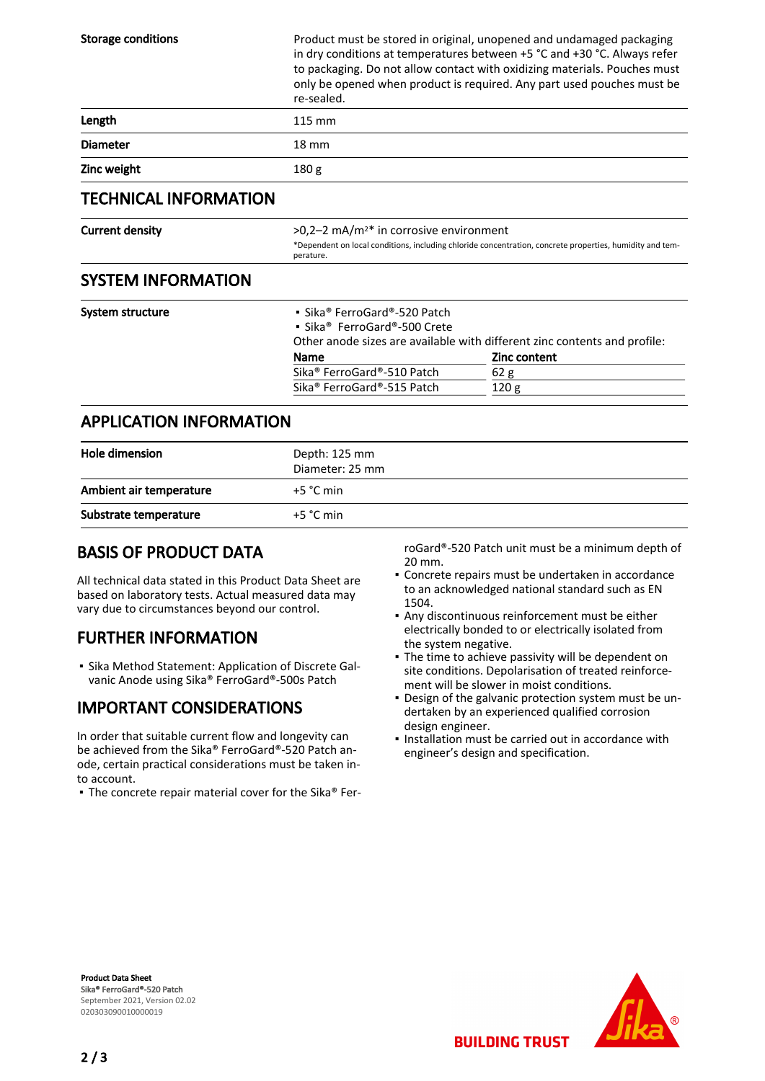| <b>Storage conditions</b>      | re-sealed.                                                                                                                                                                                                                             | Product must be stored in original, unopened and undamaged packaging<br>in dry conditions at temperatures between +5 °C and +30 °C. Always refer<br>to packaging. Do not allow contact with oxidizing materials. Pouches must<br>only be opened when product is required. Any part used pouches must be |  |
|--------------------------------|----------------------------------------------------------------------------------------------------------------------------------------------------------------------------------------------------------------------------------------|---------------------------------------------------------------------------------------------------------------------------------------------------------------------------------------------------------------------------------------------------------------------------------------------------------|--|
| Length                         | 115 mm                                                                                                                                                                                                                                 |                                                                                                                                                                                                                                                                                                         |  |
| <b>Diameter</b>                | $18 \text{ mm}$                                                                                                                                                                                                                        |                                                                                                                                                                                                                                                                                                         |  |
| Zinc weight                    | 180 <sub>g</sub>                                                                                                                                                                                                                       |                                                                                                                                                                                                                                                                                                         |  |
| <b>TECHNICAL INFORMATION</b>   |                                                                                                                                                                                                                                        |                                                                                                                                                                                                                                                                                                         |  |
| <b>Current density</b>         | $>0.2-2$ mA/m <sup>2*</sup> in corrosive environment<br>*Dependent on local conditions, including chloride concentration, concrete properties, humidity and tem-<br>perature.                                                          |                                                                                                                                                                                                                                                                                                         |  |
| <b>SYSTEM INFORMATION</b>      |                                                                                                                                                                                                                                        |                                                                                                                                                                                                                                                                                                         |  |
| System structure               | • Sika® FerroGard®-520 Patch<br>• Sika <sup>®</sup> FerroGard®-500 Crete<br>Other anode sizes are available with different zinc contents and profile:<br><b>Zinc content</b><br>Name<br>Sika <sup>®</sup> FerroGard®-510 Patch<br>62 g |                                                                                                                                                                                                                                                                                                         |  |
|                                | Sika <sup>®</sup> FerroGard®-515 Patch                                                                                                                                                                                                 | 120 <sub>g</sub>                                                                                                                                                                                                                                                                                        |  |
| <b>APPLICATION INFORMATION</b> |                                                                                                                                                                                                                                        |                                                                                                                                                                                                                                                                                                         |  |

| Hole dimension          | Depth: 125 mm<br>Diameter: 25 mm |
|-------------------------|----------------------------------|
| Ambient air temperature | $+5$ °C min                      |
| Substrate temperature   | $+5 °C$ min                      |

#### BASIS OF PRODUCT DATA

All technical data stated in this Product Data Sheet are based on laboratory tests. Actual measured data may vary due to circumstances beyond our control.

## FURTHER INFORMATION

**Bika Method Statement: Application of Discrete Gal**vanic Anode using Sika® FerroGard®-500s Patch

## IMPORTANT CONSIDERATIONS

In order that suitable current flow and longevity can be achieved from the Sika® FerroGard®-520 Patch anode, certain practical considerations must be taken into account.

■ The concrete repair material cover for the Sika® Fer-

roGard®-520 Patch unit must be a minimum depth of 20 mm.

- Concrete repairs must be undertaken in accordance to an acknowledged national standard such as EN 1504.
- Any discontinuous reinforcement must be either electrically bonded to or electrically isolated from the system negative.
- The time to achieve passivity will be dependent on site conditions. Depolarisation of treated reinforcement will be slower in moist conditions.
- Design of the galvanic protection system must be un-▪ dertaken by an experienced qualified corrosion design engineer.
- . Installation must be carried out in accordance with engineer's design and specification.

**BUILDING TRUST** 

Product Data Sheet Sika® FerroGard®-520 Patch September 2021, Version 02.02 020303090010000019